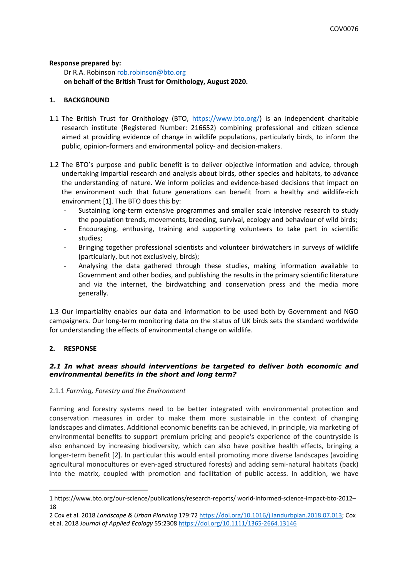#### **Response prepared by:**

Dr R.A. Robinson [rob.robinson@bto.org](mailto:rob.robinson@bto.org) **on behalf of the British Trust for Ornithology, August 2020.**

### **1. BACKGROUND**

- 1.1 The British Trust for Ornithology (BTO, [https://www.bto.org/\)](https://www.bto.org/) is an independent charitable research institute (Registered Number: 216652) combining professional and citizen science aimed at providing evidence of change in wildlife populations, particularly birds, to inform the public, opinion-formers and environmental policy- and decision-makers.
- 1.2 The BTO's purpose and public benefit is to deliver objective information and advice, through undertaking impartial research and analysis about birds, other species and habitats, to advance the understanding of nature. We inform policies and evidence-based decisions that impact on the environment such that future generations can benefit from a healthy and wildlife-rich environment [1]. The BTO does this by:
	- Sustaining long-term extensive programmes and smaller scale intensive research to study the population trends, movements, breeding, survival, ecology and behaviour of wild birds;
	- Encouraging, enthusing, training and supporting volunteers to take part in scientific studies;
	- Bringing together professional scientists and volunteer birdwatchers in surveys of wildlife (particularly, but not exclusively, birds);
	- Analysing the data gathered through these studies, making information available to Government and other bodies, and publishing the results in the primary scientific literature and via the internet, the birdwatching and conservation press and the media more generally.

1.3 Our impartiality enables our data and information to be used both by Government and NGO campaigners. Our long-term monitoring data on the status of UK birds sets the standard worldwide for understanding the effects of environmental change on wildlife.

#### **2. RESPONSE**

## *2.1 In what areas should interventions be targeted to deliver both economic and environmental benefits in the short and long term?*

#### 2.1.1 *Farming, Forestry and the Environment*

Farming and forestry systems need to be better integrated with environmental protection and conservation measures in order to make them more sustainable in the context of changing landscapes and climates. Additional economic benefits can be achieved, in principle, via marketing of environmental benefits to support premium pricing and people's experience of the countryside is also enhanced by increasing biodiversity, which can also have positive health effects, bringing a longer-term benefit [2]. In particular this would entail promoting more diverse landscapes (avoiding agricultural monocultures or even-aged structured forests) and adding semi-natural habitats (back) into the matrix, coupled with promotion and facilitation of public access. In addition, we have

<sup>1</sup> https://www.bto.org/our-science/publications/research-reports/ world-informed-science-impact-bto-2012– 18

<sup>2</sup> Cox et al. 2018 *Landscape & Urban Planning* 179:72 <https://doi.org/10.1016/j.landurbplan.2018.07.013>; Cox et al. 2018 *Journal of Applied Ecology* 55:2308 <https://doi.org/10.1111/1365-2664.13146>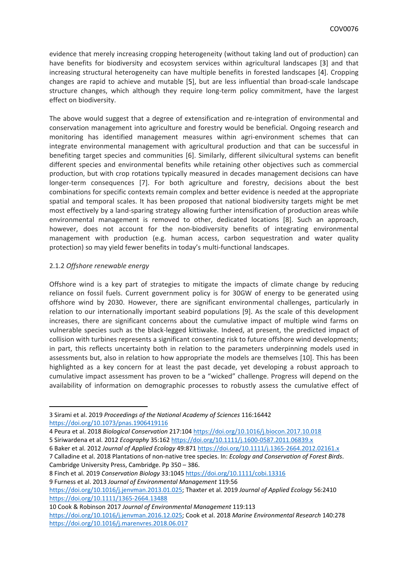evidence that merely increasing cropping heterogeneity (without taking land out of production) can have benefits for biodiversity and ecosystem services within agricultural landscapes [3] and that increasing structural heterogeneity can have multiple benefits in forested landscapes [4]. Cropping changes are rapid to achieve and mutable [5], but are less influential than broad-scale landscape structure changes, which although they require long-term policy commitment, have the largest effect on biodiversity.

The above would suggest that a degree of extensification and re-integration of environmental and conservation management into agriculture and forestry would be beneficial. Ongoing research and monitoring has identified management measures within agri-environment schemes that can integrate environmental management with agricultural production and that can be successful in benefiting target species and communities [6]. Similarly, different silvicultural systems can benefit different species and environmental benefits while retaining other objectives such as commercial production, but with crop rotations typically measured in decades management decisions can have longer-term consequences [7]. For both agriculture and forestry, decisions about the best combinations for specific contexts remain complex and better evidence is needed at the appropriate spatial and temporal scales. It has been proposed that national biodiversity targets might be met most effectively by a land-sparing strategy allowing further intensification of production areas while environmental management is removed to other, dedicated locations [8]. Such an approach, however, does not account for the non-biodiversity benefits of integrating environmental management with production (e.g. human access, carbon sequestration and water quality protection) so may yield fewer benefits in today's multi-functional landscapes.

#### 2.1.2 *Offshore renewable energy*

Offshore wind is a key part of strategies to mitigate the impacts of climate change by reducing reliance on fossil fuels. Current government policy is for 30GW of energy to be generated using offshore wind by 2030. However, there are significant environmental challenges, particularly in relation to our internationally important seabird populations [9]. As the scale of this development increases, there are significant concerns about the cumulative impact of multiple wind farms on vulnerable species such as the black-legged kittiwake. Indeed, at present, the predicted impact of collision with turbines represents a significant consenting risk to future offshore wind developments; in part, this reflects uncertainty both in relation to the parameters underpinning models used in assessments but, also in relation to how appropriate the models are themselves [10]. This has been highlighted as a key concern for at least the past decade, yet developing a robust approach to cumulative impact assessment has proven to be a "wicked" challenge. Progress will depend on the availability of information on demographic processes to robustly assess the cumulative effect of

<sup>3</sup> Sirami et al. 2019 *Proceedings of the National Academy of Sciences* 116:16442 <https://doi.org/10.1073/pnas.1906419116>

<sup>4</sup> Peura et al. 2018 *Biological Conservation* 217:104 <https://doi.org/10.1016/j.biocon.2017.10.018>

<sup>5</sup> Siriwardena et al. 2012 *Ecography* 35:162 <https://doi.org/10.1111/j.1600-0587.2011.06839.x>

<sup>6</sup> Baker et al. 2012 *Journal of Applied Ecology* 49:871 <https://doi.org/10.1111/j.1365-2664.2012.02161.x>

<sup>7</sup> Calladine et al. 2018 Plantations of non-native tree species. In: *Ecology and Conservation of Forest Birds*. Cambridge University Press, Cambridge. Pp 350 – 386.

<sup>8</sup> Finch et al. 2019 *Conservation Biology* 33:1045 <https://doi.org/10.1111/cobi.13316> 9 Furness et al. 2013 *Journal of Environmental Management* 119:56 <https://doi.org/10.1016/j.jenvman.2013.01.025>; Thaxter et al. 2019 *Journal of Applied Ecology* 56:2410 <https://doi.org/10.1111/1365-2664.13488>

<sup>10</sup> Cook & Robinson 2017 *Journal of Environmental Management* 119:113

<https://doi.org/10.1016/j.jenvman.2016.12.025>; Cook et al. 2018 *Marine Environmental Research* 140:278 <https://doi.org/10.1016/j.marenvres.2018.06.017>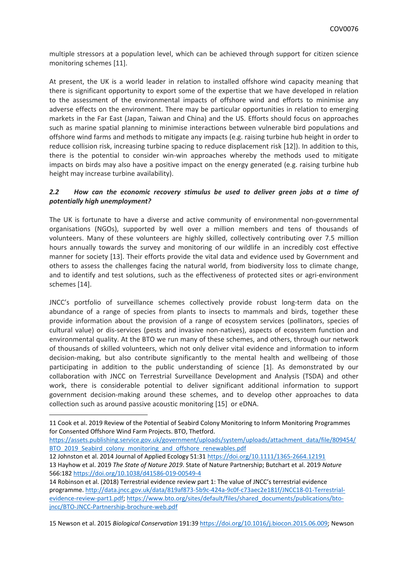multiple stressors at a population level, which can be achieved through support for citizen science monitoring schemes [11].

At present, the UK is a world leader in relation to installed offshore wind capacity meaning that there is significant opportunity to export some of the expertise that we have developed in relation to the assessment of the environmental impacts of offshore wind and efforts to minimise any adverse effects on the environment. There may be particular opportunities in relation to emerging markets in the Far East (Japan, Taiwan and China) and the US. Efforts should focus on approaches such as marine spatial planning to minimise interactions between vulnerable bird populations and offshore wind farms and methods to mitigate any impacts (e.g. raising turbine hub height in order to reduce collision risk, increasing turbine spacing to reduce displacement risk [12]). In addition to this, there is the potential to consider win-win approaches whereby the methods used to mitigate impacts on birds may also have a positive impact on the energy generated (e.g. raising turbine hub height may increase turbine availability).

## *2.2 How can the economic recovery stimulus be used to deliver green jobs at a time of potentially high unemployment?*

The UK is fortunate to have a diverse and active community of environmental non-governmental organisations (NGOs), supported by well over a million members and tens of thousands of volunteers. Many of these volunteers are highly skilled, collectively contributing over 7.5 million hours annually towards the survey and monitoring of our wildlife in an incredibly cost effective manner for society [13]. Their efforts provide the vital data and evidence used by Government and others to assess the challenges facing the natural world, from biodiversity loss to climate change, and to identify and test solutions, such as the effectiveness of protected sites or agri-environment schemes [14].

JNCC's portfolio of surveillance schemes collectively provide robust long-term data on the abundance of a range of species from plants to insects to mammals and birds, together these provide information about the provision of a range of ecosystem services (pollinators, species of cultural value) or dis-services (pests and invasive non-natives), aspects of ecosystem function and environmental quality. At the BTO we run many of these schemes, and others, through our network of thousands of skilled volunteers, which not only deliver vital evidence and information to inform decision-making, but also contribute significantly to the mental health and wellbeing of those participating in addition to the public understanding of science [1]. As demonstrated by our collaboration with JNCC on Terrestrial Surveillance Development and Analysis (TSDA) and other work, there is considerable potential to deliver significant additional information to support government decision-making around these schemes, and to develop other approaches to data collection such as around passive acoustic monitoring [15] or eDNA.

[https://assets.publishing.service.gov.uk/government/uploads/system/uploads/attachment\\_data/file/809454/](https://assets.publishing.service.gov.uk/government/uploads/system/uploads/attachment_data/file/809454/BTO_2019_Seabird_colony_monitoring_and_offshore_renewables.pdf) BTO 2019 Seabird colony monitoring and offshore renewables.pdf

12 Johnston et al. 2014 Journal of Applied Ecology 51:31 <https://doi.org/10.1111/1365-2664.12191> 13 Hayhow et al. 2019 *The State of Nature 2019*. State of Nature Partnership; Butchart et al. 2019 *Nature* 566:182 <https://doi.org/10.1038/d41586-019-00549-4>

14 Robinson et al. (2018) Terrestrial evidence review part 1: The value of JNCC's terrestrial evidence programme. [http://data.jncc.gov.uk/data/819af873-5b9c-424a-9c0f-c73aec2e181f/JNCC18-01-Terrestrial](http://data.jncc.gov.uk/data/819af873-5b9c-424a-9c0f-c73aec2e181f/JNCC18-01-Terrestrial-evidence-review-part1.pdf)[evidence-review-part1.pdf;](http://data.jncc.gov.uk/data/819af873-5b9c-424a-9c0f-c73aec2e181f/JNCC18-01-Terrestrial-evidence-review-part1.pdf) [https://www.bto.org/sites/default/files/shared\\_documents/publications/bto](https://www.bto.org/sites/default/files/shared_documents/publications/bto-jncc/BTO-JNCC-Partnership-brochure-web.pdf)[jncc/BTO-JNCC-Partnership-brochure-web.pdf](https://www.bto.org/sites/default/files/shared_documents/publications/bto-jncc/BTO-JNCC-Partnership-brochure-web.pdf)

15 Newson et al. 2015 *Biological Conservation* 191:39 [https://doi.org/10.1016/j.biocon.2015.06.009;](https://doi.org/10.1016/j.biocon.2015.06.009) Newson

<sup>11</sup> Cook et al. 2019 Review of the Potential of Seabird Colony Monitoring to Inform Monitoring Programmes for Consented Offshore Wind Farm Projects. BTO, Thetford.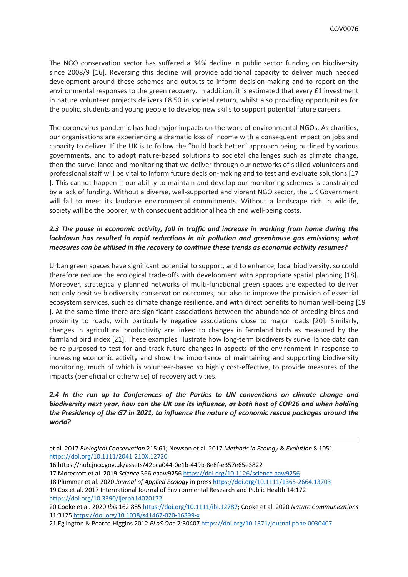The NGO conservation sector has suffered a 34% decline in public sector funding on biodiversity since 2008/9 [16]. Reversing this decline will provide additional capacity to deliver much needed development around these schemes and outputs to inform decision-making and to report on the environmental responses to the green recovery. In addition, it is estimated that every £1 investment in nature volunteer projects delivers £8.50 in societal return, whilst also providing opportunities for the public, students and young people to develop new skills to support potential future careers.

The coronavirus pandemic has had major impacts on the work of environmental NGOs. As charities, our organisations are experiencing a dramatic loss of income with a consequent impact on jobs and capacity to deliver. If the UK is to follow the "build back better" approach being outlined by various governments, and to adopt nature-based solutions to societal challenges such as climate change, then the surveillance and monitoring that we deliver through our networks of skilled volunteers and professional staff will be vital to inform future decision-making and to test and evaluate solutions [17 ]. This cannot happen if our ability to maintain and develop our monitoring schemes is constrained by a lack of funding. Without a diverse, well-supported and vibrant NGO sector, the UK Government will fail to meet its laudable environmental commitments. Without a landscape rich in wildlife, society will be the poorer, with consequent additional health and well-being costs.

# *2.3 The pause in economic activity, fall in traffic and increase in working from home during the lockdown has resulted in rapid reductions in air pollution and greenhouse gas emissions; what measures can be utilised in the recovery to continue these trends as economic activity resumes?*

Urban green spaces have significant potential to support, and to enhance, local biodiversity, so could therefore reduce the ecological trade-offs with development with appropriate spatial planning [18]. Moreover, strategically planned networks of multi-functional green spaces are expected to deliver not only positive biodiversity conservation outcomes, but also to improve the provision of essential ecosystem services, such as climate change resilience, and with direct benefits to human well-being [19 ]. At the same time there are significant associations between the abundance of breeding birds and proximity to roads, with particularly negative associations close to major roads [20]. Similarly, changes in agricultural productivity are linked to changes in farmland birds as measured by the farmland bird index [21]. These examples illustrate how long-term biodiversity surveillance data can be re-purposed to test for and track future changes in aspects of the environment in response to increasing economic activity and show the importance of maintaining and supporting biodiversity monitoring, much of which is volunteer-based so highly cost-effective, to provide measures of the impacts (beneficial or otherwise) of recovery activities.

## *2.4 In the run up to Conferences of the Parties to UN conventions on climate change and biodiversity next year, how can the UK use its influence, as both host of COP26 and when holding the Presidency of the G7 in 2021, to influence the nature of economic rescue packages around the world?*

et al. 2017 *Biological Conservation* 215:61; Newson et al. 2017 *Methods in Ecology & Evolution* 8:1051 <https://doi.org/10.1111/2041-210X.12720>

<sup>16</sup> https://hub.jncc.gov.uk/assets/42bca044-0e1b-449b-8e8f-e357e65e3822

<sup>17</sup> Morecroft et al. 2019 *Science* 366:eaaw9256 <https://doi.org/10.1126/science.aaw9256>

<sup>18</sup> Plummer et al. 2020 *Journal of Applied Ecology* in press <https://doi.org/10.1111/1365-2664.13703>

<sup>19</sup> Cox et al. 2017 International Journal of Environmental Research and Public Health 14:172 <https://doi.org/10.3390/ijerph14020172>

<sup>20</sup> Cooke et al. 2020 *Ibis* 162:885 <https://doi.org/10.1111/ibi.12787>; Cooke et al. 2020 *Nature Communications* 11:3125 <https://doi.org/10.1038/s41467-020-16899-x>

<sup>21</sup> Eglington & Pearce-Higgins 2012 *PLoS One* 7:30407 <https://doi.org/10.1371/journal.pone.0030407>